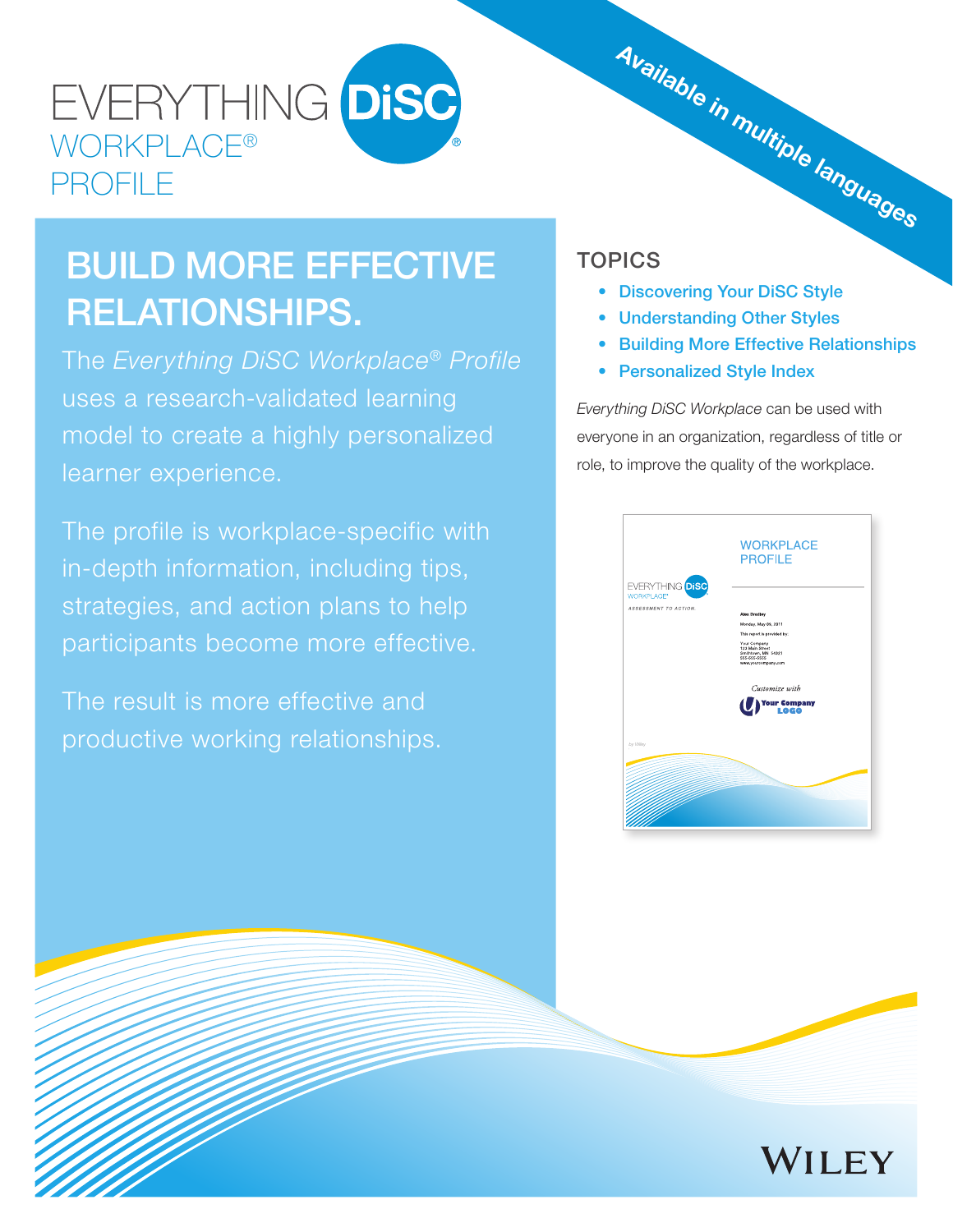# EVERYTHING DISC **WORKPLACE®** PROFILE

# BUILD MORE EFFECTIVE RELATIONSHIPS.

The *Everything DiSC Workplace® Profile* uses a research-validated learning model to create a highly personalized learner experience.

The profile is workplace-specific with in-depth information, including tips, strategies, and action plans to help participants become more effective.

The result is more effective and productive working relationships.

# **TOPICS** Available in multiple languages

- Discovering Your DiSC Style
- Understanding Other Styles
- Building More Effective Relationships
- Personalized Style Index

*Everything DiSC Workplace* can be used with everyone in an organization, regardless of title or role, to improve the quality of the workplace.

|                                                                      | <b>WORKPLACE</b><br><b>PROFILE</b>                                                            |
|----------------------------------------------------------------------|-----------------------------------------------------------------------------------------------|
| EVERYTHING <b>DISC</b><br><b>WORKPLACE*</b><br>ASSESSMENT TO ACTION. |                                                                                               |
|                                                                      | Alex Bradley                                                                                  |
|                                                                      | Monday, May 09, 2011<br>This report is provided by:                                           |
|                                                                      | Your Company<br>123 Main Street<br>Smithtown, MN 54321<br>555-555-5555<br>www.yourcompany.com |
|                                                                      | Customize with<br>Your Company                                                                |
| by Wiley                                                             |                                                                                               |
|                                                                      |                                                                                               |
|                                                                      |                                                                                               |